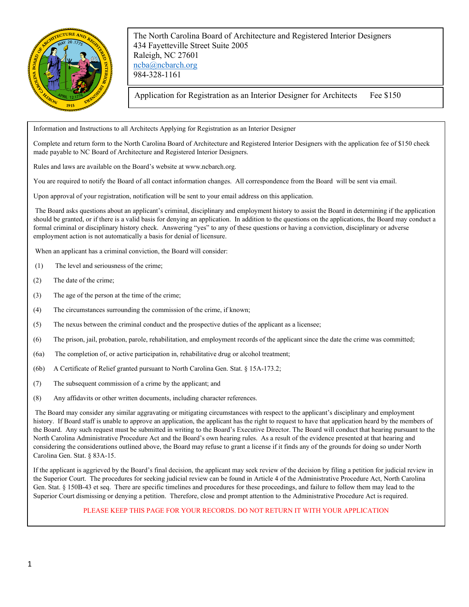

The North Carolina Board of Architecture and Registered Interior Designers 434 Fayetteville Street Suite 2005 Raleigh, NC 27601 [ncba@ncbarch.org](mailto:ncba@ncbarch.org) 984-328-1161

Application for Registration as an Interior Designer for Architects Fee \$150

Information and Instructions to all Architects Applying for Registration as an Interior Designer

Complete and return form to the North Carolina Board of Architecture and Registered Interior Designers with the application fee of \$150 check made payable to NC Board of Architecture and Registered Interior Designers.

Rules and laws are available on the Board's website at www.ncbarch.org.

You are required to notify the Board of all contact information changes. All correspondence from the Board will be sent via email.

Upon approval of your registration, notification will be sent to your email address on this application.

The Board asks questions about an applicant's criminal, disciplinary and employment history to assist the Board in determining if the application should be granted, or if there is a valid basis for denying an application. In addition to the questions on the applications, the Board may conduct a formal criminal or disciplinary history check. Answering "yes" to any of these questions or having a conviction, disciplinary or adverse employment action is not automatically a basis for denial of licensure.

When an applicant has a criminal conviction, the Board will consider:

- (1) The level and seriousness of the crime;
- (2) The date of the crime;
- (3) The age of the person at the time of the crime;
- (4) The circumstances surrounding the commission of the crime, if known;
- (5) The nexus between the criminal conduct and the prospective duties of the applicant as a licensee;
- (6) The prison, jail, probation, parole, rehabilitation, and employment records of the applicant since the date the crime was committed;
- (6a) The completion of, or active participation in, rehabilitative drug or alcohol treatment;
- (6b) A Certificate of Relief granted pursuant to North Carolina Gen. Stat. § 15A-173.2;
- (7) The subsequent commission of a crime by the applicant; and
- (8) Any affidavits or other written documents, including character references.

The Board may consider any similar aggravating or mitigating circumstances with respect to the applicant's disciplinary and employment history. If Board staff is unable to approve an application, the applicant has the right to request to have that application heard by the members of the Board. Any such request must be submitted in writing to the Board's Executive Director. The Board will conduct that hearing pursuant to the North Carolina Administrative Procedure Act and the Board's own hearing rules. As a result of the evidence presented at that hearing and considering the considerations outlined above, the Board may refuse to grant a license if it finds any of the grounds for doing so under North Carolina Gen. Stat. § 83A-15.

If the applicant is aggrieved by the Board's final decision, the applicant may seek review of the decision by filing a petition for judicial review in the Superior Court. The procedures for seeking judicial review can be found in Article 4 of the Administrative Procedure Act, North Carolina Gen. Stat. § 150B-43 et seq. There are specific timelines and procedures for these proceedings, and failure to follow them may lead to the Superior Court dismissing or denying a petition. Therefore, close and prompt attention to the Administrative Procedure Act is required.

## PLEASE KEEP THIS PAGE FOR YOUR RECORDS. DO NOT RETURN IT WITH YOUR APPLICATION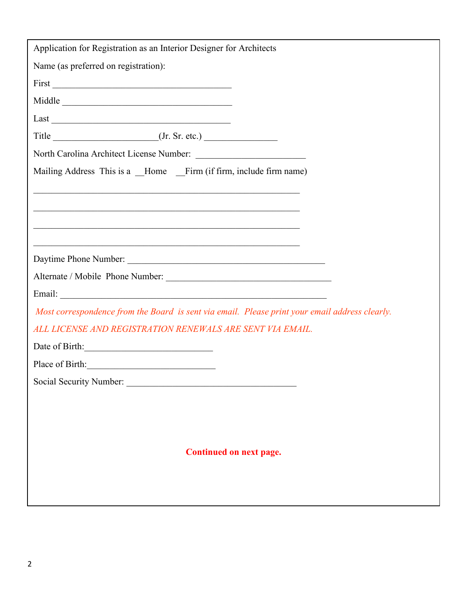| Application for Registration as an Interior Designer for Architects                            |
|------------------------------------------------------------------------------------------------|
| Name (as preferred on registration):                                                           |
|                                                                                                |
| Middle                                                                                         |
| Last                                                                                           |
|                                                                                                |
|                                                                                                |
| Mailing Address This is a _Home _Firm (if firm, include firm name)                             |
| <u> 1989 - Johann Stoff, amerikansk politiker (d. 1989)</u>                                    |
|                                                                                                |
|                                                                                                |
|                                                                                                |
| Daytime Phone Number:                                                                          |
|                                                                                                |
|                                                                                                |
| Most correspondence from the Board is sent via email. Please print your email address clearly. |
| ALL LICENSE AND REGISTRATION RENEWALS ARE SENT VIA EMAIL.                                      |
| Date of Birth:                                                                                 |
| Place of Birth:                                                                                |
| Social Security Number:                                                                        |
|                                                                                                |
|                                                                                                |
|                                                                                                |
| <b>Continued on next page.</b>                                                                 |
|                                                                                                |
|                                                                                                |
|                                                                                                |